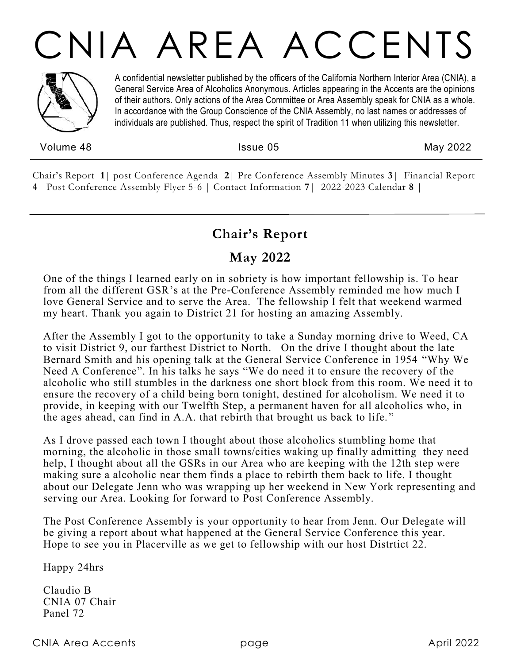# CNIA AREA ACCENTS



A confidential newsletter published by the officers of the California Northern Interior Area (CNIA), a General Service Area of Alcoholics Anonymous. Articles appearing in the Accents are the opinions of their authors. Only actions of the Area Committee or Area Assembly speak for CNIA as a whole. In accordance with the Group Conscience of the CNIA Assembly, no last names or addresses of individuals are published. Thus, respect the spirit of Tradition 11 when utilizing this newsletter.

Volume 48 **Issue 05** May 2022

Chair's Report **1**| post Conference Agenda **2**| Pre Conference Assembly Minutes **3**| Financial Report **4** Post Conference Assembly Flyer 5-6 | Contact Information **7**| 2022-2023 Calendar **8** |

# **Chair's Report**

# **May 2022**

One of the things I learned early on in sobriety is how important fellowship is. To hear from all the different GSR's at the Pre-Conference Assembly reminded me how much I love General Service and to serve the Area. The fellowship I felt that weekend warmed my heart. Thank you again to District 21 for hosting an amazing Assembly.

After the Assembly I got to the opportunity to take a Sunday morning drive to Weed, CA to visit District 9, our farthest District to North. On the drive I thought about the late Bernard Smith and his opening talk at the General Service Conference in 1954 "Why We Need A Conference". In his talks he says "We do need it to ensure the recovery of the alcoholic who still stumbles in the darkness one short block from this room. We need it to ensure the recovery of a child being born tonight, destined for alcoholism. We need it to provide, in keeping with our Twelfth Step, a permanent haven for all alcoholics who, in the ages ahead, can find in A.A. that rebirth that brought us back to life. "

As I drove passed each town I thought about those alcoholics stumbling home that morning, the alcoholic in those small towns/cities waking up finally admitting they need help, I thought about all the GSRs in our Area who are keeping with the 12th step were making sure a alcoholic near them finds a place to rebirth them back to life. I thought about our Delegate Jenn who was wrapping up her weekend in New York representing and serving our Area. Looking for forward to Post Conference Assembly.

The Post Conference Assembly is your opportunity to hear from Jenn. Our Delegate will be giving a report about what happened at the General Service Conference this year. Hope to see you in Placerville as we get to fellowship with our host Distrtict 22.

Happy 24hrs

Claudio B CNIA 07 Chair Panel 72

CNIA Area Accents page April 2022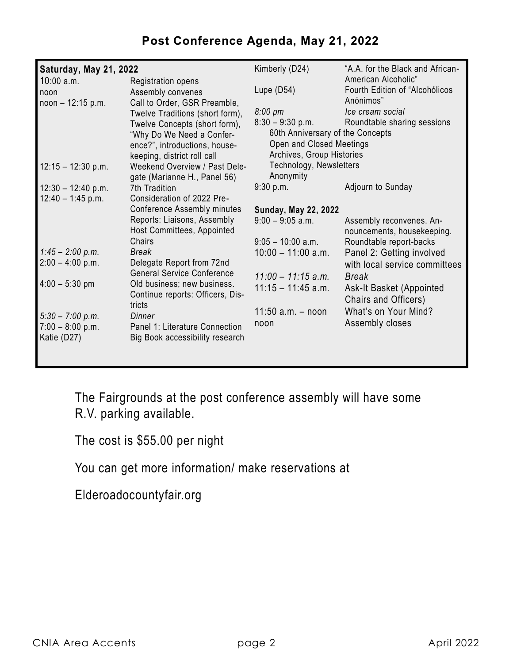# **Post Conference Agenda, May 21, 2022**

| Saturday, May 21, 2022 |                                                                  | Kimberly (D24)                                       | "A.A. for the Black and African-                       |  |
|------------------------|------------------------------------------------------------------|------------------------------------------------------|--------------------------------------------------------|--|
| $10:00$ a.m.<br>noon   | Registration opens<br>Assembly convenes                          | Lupe $(D54)$                                         | American Alcoholic"<br>Fourth Edition of "Alcohólicos" |  |
| $noon - 12:15 p.m.$    | Call to Order, GSR Preamble,                                     | 8:00 pm                                              | Anónimos"<br>Ice cream social                          |  |
|                        | Twelve Traditions (short form),<br>Twelve Concepts (short form), | $8:30 - 9:30$ p.m.                                   | Roundtable sharing sessions                            |  |
|                        | "Why Do We Need a Confer-                                        | 60th Anniversary of the Concepts                     |                                                        |  |
|                        | ence?", introductions, house-                                    | Open and Closed Meetings                             |                                                        |  |
| $12:15 - 12:30$ p.m.   | keeping, district roll call<br>Weekend Overview / Past Dele-     | Archives, Group Histories<br>Technology, Newsletters |                                                        |  |
|                        | gate (Marianne H., Panel 56)                                     | Anonymity                                            |                                                        |  |
| $12:30 - 12:40 p.m.$   | 7th Tradition                                                    | 9:30 p.m.                                            | Adjourn to Sunday                                      |  |
| $12:40 - 1:45$ p.m.    | Consideration of 2022 Pre-                                       |                                                      |                                                        |  |
|                        | <b>Conference Assembly minutes</b>                               | <b>Sunday, May 22, 2022</b>                          |                                                        |  |
|                        | Reports: Liaisons, Assembly<br>Host Committees, Appointed        | $9:00 - 9:05$ a.m.                                   | Assembly reconvenes. An-<br>nouncements, housekeeping. |  |
|                        | Chairs                                                           | $9:05 - 10:00$ a.m.                                  | Roundtable report-backs                                |  |
| $1:45 - 2:00$ p.m.     | <b>Break</b>                                                     | $10:00 - 11:00$ a.m.                                 | Panel 2: Getting involved                              |  |
| $2:00 - 4:00$ p.m.     | Delegate Report from 72nd                                        |                                                      | with local service committees                          |  |
| $4:00 - 5:30$ pm       | <b>General Service Conference</b><br>Old business; new business. | $11:00 - 11:15$ a.m.                                 | Break                                                  |  |
|                        | Continue reports: Officers, Dis-                                 | $11:15 - 11:45$ a.m.                                 | Ask-It Basket (Appointed<br>Chairs and Officers)       |  |
| $5:30 - 7:00 p.m.$     | tricts<br>Dinner                                                 | 11:50 $a.m. - noon$                                  | What's on Your Mind?                                   |  |
| $7:00 - 8:00 p.m.$     | Panel 1: Literature Connection                                   | noon                                                 | Assembly closes                                        |  |
| Katie (D27)            | Big Book accessibility research                                  |                                                      |                                                        |  |
|                        |                                                                  |                                                      |                                                        |  |

The Fairgrounds at the post conference assembly will have some R.V. parking available.

The cost is \$55.00 per night

You can get more information/ make reservations at

Elderoadocountyfair.org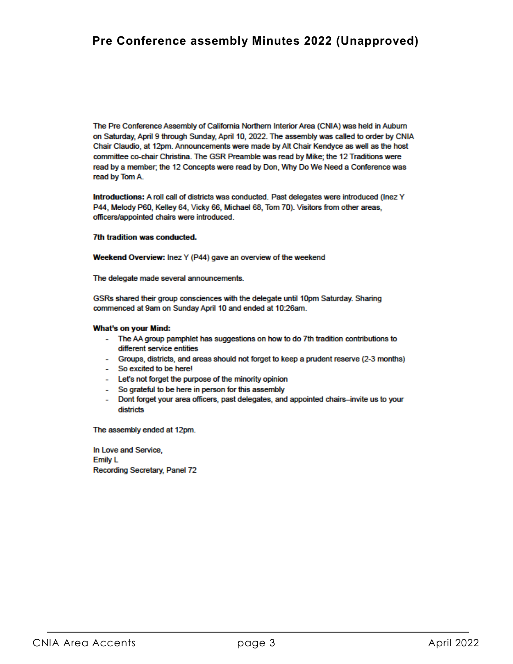The Pre Conference Assembly of California Northern Interior Area (CNIA) was held in Auburn on Saturday, April 9 through Sunday, April 10, 2022. The assembly was called to order by CNIA Chair Claudio, at 12pm. Announcements were made by Alt Chair Kendyce as well as the host committee co-chair Christina. The GSR Preamble was read by Mike; the 12 Traditions were read by a member; the 12 Concepts were read by Don, Why Do We Need a Conference was read by Tom A.

Introductions: A roll call of districts was conducted. Past delegates were introduced (lnez Y P44, Melody P60, Kelley 64, Vicky 66, Michael 68, Tom 70). Visitors from other areas, officers/appointed chairs were introduced.

#### 7th tradition was conducted.

Weekend Overview: Inez Y (P44) gave an overview of the weekend

The delegate made several announcements.

GSRs shared their group consciences with the delegate until 10pm Saturday. Sharing commenced at 9am on Sunday April 10 and ended at 10:26am.

#### **What's on your Mind:**

- The AA group pamphlet has suggestions on how to do 7th tradition contributions to different service entities
- Groups, districts, and areas should not forget to keep a prudent reserve (2-3 months)
- So excited to be here!
- Let's not forget the purpose of the minority opinion
- So grateful to be here in person for this assembly
- Dont forget your area officers, past delegates, and appointed chairs-invite us to your districts

The assembly ended at 12pm.

In Love and Service, **Emily L** Recording Secretary, Panel 72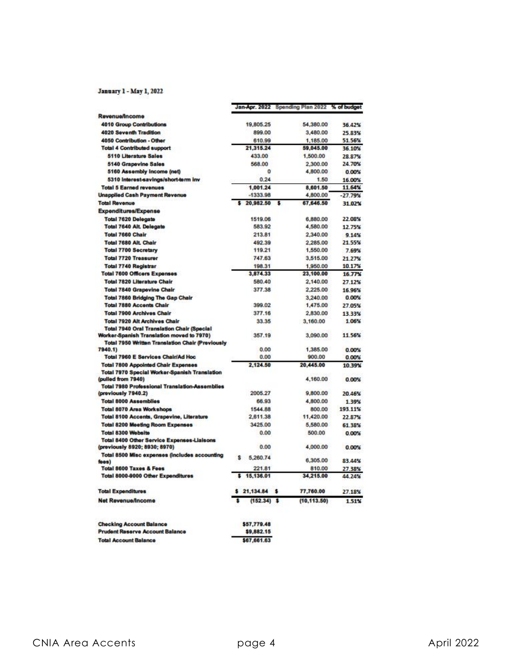#### January 1 - May 1, 2022

|                                                                                                      |                | Jan-Apr. 2022 Spending Plan 2022 % of budget |           |
|------------------------------------------------------------------------------------------------------|----------------|----------------------------------------------|-----------|
| <b>Revenue/Income</b>                                                                                |                |                                              |           |
| <b>4010 Group Contributions</b>                                                                      | 19,805.25      | 54,380.00                                    | 36.42%    |
| 4020 Seventh Tradition                                                                               | 899.00         | 3,480.00                                     | 25.83%    |
| 4050 Contribution - Other                                                                            | 610.99         | 1,185.00                                     | 51.56%    |
| <b>Total 4 Contributed support</b>                                                                   | 21.315.24      | 59,045.00                                    | 36.10%    |
| 5110 Literature Sales                                                                                | 433.00         | 1,500.00                                     | 28.87%    |
| <b>5140 Grapevine Sales</b>                                                                          | 568.00         | 2,300.00                                     | 24.70%    |
| 5160 Assembly Income (net)                                                                           | 0              | 4,800.00                                     | 0.00%     |
| 5310 Interest-savings/short-term inv                                                                 | 0.24           | 1.50                                         | 16.00%    |
| <b>Total 5 Earned revenues</b>                                                                       | 1.001.24       | 8,601.50                                     | 11.64%    |
| <b>Unapplied Cash Payment Revenue</b>                                                                | $-1333.98$     | 4,800.00                                     | $-27.79%$ |
| <b>Total Revenue</b>                                                                                 | \$20,982.50    | 67,646.50<br>$\mathbf{S}$                    | 31 02%    |
| Expenditures/Expense                                                                                 |                |                                              |           |
| <b>Total 7620 Delegate</b>                                                                           | 1519.06        | 6,880.00                                     | 22.08%    |
| <b>Total 7640 Alt. Delegate</b>                                                                      | 583.92         | 4,580.00                                     | 12.75%    |
| <b>Total 7660 Chair</b>                                                                              | 213.81         | 2,340.00                                     | 9.14%     |
| Total 7680 Alt. Chair                                                                                | 492.39         | 2,285.00                                     | 21.55%    |
| <b>Total 7700 Secretary</b>                                                                          | 119.21         | 1,550.00                                     | 7.69%     |
| <b>Total 7720 Treasurer</b>                                                                          | 747.63         | 3,515.00                                     | 21.27%    |
| <b>Total 7740 Registrar</b>                                                                          | 198.31         | 1,950.00                                     | 10.17%    |
| <b>Total 7600 Officers Expenses</b>                                                                  | 3,874.33       | 23,100.00                                    | 16.77%    |
| <b>Total 7820 Literature Chair</b>                                                                   | 580.40         | 2,140.00                                     | 27.12%    |
| <b>Total 7840 Grapevine Chair</b>                                                                    | 377.38         | 2,225.00                                     | 16 96%    |
| <b>Total 7860 Bridging The Gap Chair</b>                                                             |                | 3,240.00                                     | 0.00%     |
| <b>Total 7880 Accents Chair</b>                                                                      | 399.02         | 1,475.00                                     | 27.05%    |
| <b>Total 7900 Archives Chair</b>                                                                     | 377.16         | 2,830.00                                     | 13.33%    |
| <b>Total 7920 Alt Archives Chair</b>                                                                 | 33.35          | 3,160.00                                     | 1.06%     |
| <b>Total 7940 Oral Translation Chair (Special</b>                                                    |                |                                              |           |
| Worker-Spanish Translation moved to 7970)<br><b>Total 7950 Written Translation Chair (Previously</b> | 357.19         | 3,090.00                                     | 11.56%    |
| 7940.1)                                                                                              | 0.00           | 1,385.00                                     | 0.00%     |
| Total 7960 E Services Chair/Ad Hoc                                                                   | 0.00           | 900.00                                       | 0.00%     |
| <b>Total 7800 Appointed Chair Expenses</b>                                                           | 2,124.50       | 20,445.00                                    | 10 39%    |
| Total 7970 Special Worker-Spanish Translation                                                        |                |                                              |           |
| (pulled from 7940)                                                                                   |                | 4,160.00                                     | 0.00%     |
| <b>Total 7980 Professional Translation-Assemblies</b>                                                |                |                                              |           |
| (previously 7940.2)                                                                                  | 2005.27        | 9,800.00                                     | 20.46%    |
| <b>Total 8000 Assemblies</b>                                                                         | 66.93          | 4,800.00                                     | 1.39%     |
| <b>Total 8070 Area Workshops</b>                                                                     | 1544.88        | 800.00                                       | 193.11%   |
| Total 8100 Accents, Grapevine, Literature                                                            | 2,611.38       | 11,420.00                                    | 22.87%    |
| <b>Total 8200 Mooting Room Exponses</b>                                                              | 3425.00        | 5,580.00                                     | 61.38%    |
| <b>Total 8300 Website</b>                                                                            | 0.00           | 500.00                                       | 0.00%     |
| <b>Total 8400 Other Service Expenses-Liaisons</b>                                                    |                |                                              |           |
| (previously 8920; 8930; 8970)                                                                        | 0.00           | 4,000.00                                     | 0.00%     |
| Total 8500 Misc expenses (includes accounting<br>foos)                                               | 5,260.74<br>ŝ  | 6,305.00                                     | 83.44%    |
| <b>Total 8600 Taxes &amp; Fees</b>                                                                   | 221.81         | 810.00                                       | 27.38%    |
| Total 8000-9000 Other Expenditures                                                                   | s<br>15,136.01 | 34,215.00                                    | 44.24%    |
| <b>Total Expenditures</b>                                                                            | \$21,134.84    | s<br>77,760.00                               | 27.18%    |
| <b>Net Revenue/Income</b>                                                                            | $(152.34)$ \$  | (10, 113.50)                                 | 1.51%     |
| <b>Checking Account Balance</b>                                                                      | \$57,779.48    |                                              |           |
| <b>Prudent Reserve Account Balance</b>                                                               | \$9,882.15     |                                              |           |
| <b>Total Account Balance</b>                                                                         | \$67,661.63    |                                              |           |
|                                                                                                      |                |                                              |           |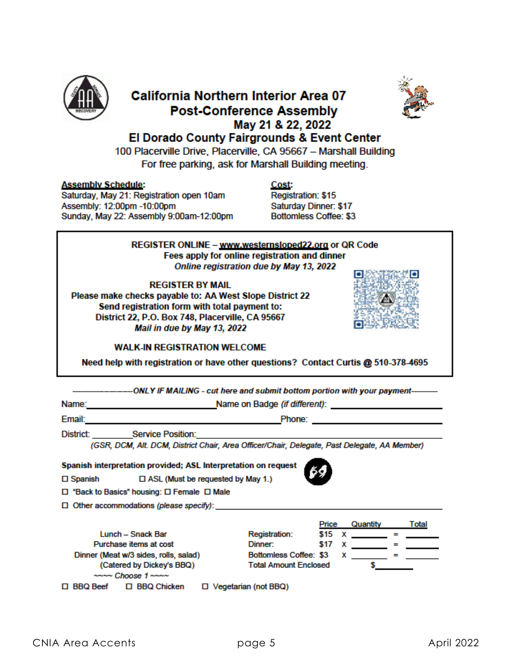

## **California Northern Interior Area 07 Post-Conference Assembly** May 21 & 22, 2022 El Dorado County Fairgrounds & Event Center



100 Placerville Drive, Placerville, CA 95667 - Marshall Building For free parking, ask for Marshall Building meeting.

#### **Assembly Schedule:**

Saturday, May 21: Registration open 10am Assembly: 12:00pm -10:00pm Sunday, May 22: Assembly 9:00am-12:00pm

Cost: Registration: \$15 Saturday Dinner: \$17 **Bottomless Coffee: \$3** 

REGISTER ONLINE - www.westernsloped22.org or QR Code Fees apply for online registration and dinner Online registration due by May 13, 2022

#### **REGISTER BY MAIL**

Please make checks payable to: AA West Slope District 22 Send registration form with total payment to: District 22, P.O. Box 748, Placerville, CA 95667 Mail in due by May 13, 2022



#### **WALK-IN REGISTRATION WELCOME**

Need help with registration or have other questions? Contact Curtis @ 510-378-4695

| -ONLY IF MAILING - cut here and submit bottom portion with your payment----------                                                                                                                                                                  |                              |             |   |                                                                                                                                                                                                                                                                                                                                 |     |                   |
|----------------------------------------------------------------------------------------------------------------------------------------------------------------------------------------------------------------------------------------------------|------------------------------|-------------|---|---------------------------------------------------------------------------------------------------------------------------------------------------------------------------------------------------------------------------------------------------------------------------------------------------------------------------------|-----|-------------------|
| Name:<br><b>Name on Badge (if different):</b> <u>the same of the same of the same of the same of the same of the same of the same of the same of the same of the same of the same of the same of the same of the same of the same of the same </u> |                              |             |   |                                                                                                                                                                                                                                                                                                                                 |     |                   |
| Email:<br>Phone:<br><u> 1980 - Johann Barn, mars ann an t-Amhain an t-Amhain an t-Amhain an t-Amhain an t-Amhain an t-Amhain an t-Amh</u><br>the control of the control of the control of the control of the control of                            |                              |             |   |                                                                                                                                                                                                                                                                                                                                 |     |                   |
| District: Service Position: Service of the Service of the Service of the Service of the Service of the Service                                                                                                                                     |                              |             |   |                                                                                                                                                                                                                                                                                                                                 |     |                   |
| (GSR, DCM, Alt. DCM, District Chair, Area Officer/Chair, Delegate, Past Delegate, AA Member)                                                                                                                                                       |                              |             |   |                                                                                                                                                                                                                                                                                                                                 |     |                   |
| Spanish interpretation provided; ASL Interpretation on request<br>□ Spanish □ ASL (Must be requested by May 1.)<br>□ "Back to Basics" housing: □ Female □ Male                                                                                     |                              |             |   |                                                                                                                                                                                                                                                                                                                                 |     |                   |
|                                                                                                                                                                                                                                                    |                              |             |   |                                                                                                                                                                                                                                                                                                                                 |     |                   |
|                                                                                                                                                                                                                                                    |                              | Price       |   | Quantity                                                                                                                                                                                                                                                                                                                        |     | Total             |
| Lunch - Snack Bar                                                                                                                                                                                                                                  | <b>Registration:</b>         | \$15        |   | $\mathbf x$ and $\mathbf x$ and $\mathbf x$ and $\mathbf x$ and $\mathbf x$ and $\mathbf x$ and $\mathbf x$ and $\mathbf x$ and $\mathbf x$ and $\mathbf x$ and $\mathbf x$ and $\mathbf x$ and $\mathbf x$ and $\mathbf x$ and $\mathbf x$ and $\mathbf x$ and $\mathbf x$ and $\mathbf x$ and $\mathbf x$ and $\mathbf x$ and | $=$ |                   |
| Purchase items at cost                                                                                                                                                                                                                             | Dinner:                      | <b>S</b> 17 | x |                                                                                                                                                                                                                                                                                                                                 | -   |                   |
| Dinner (Meat w/3 sides, rolls, salad)                                                                                                                                                                                                              | Bottomless Coffee: \$3       |             | x |                                                                                                                                                                                                                                                                                                                                 |     | <b>Experience</b> |
| (Catered by Dickey's BBQ)                                                                                                                                                                                                                          | <b>Total Amount Enclosed</b> |             |   |                                                                                                                                                                                                                                                                                                                                 |     |                   |
| $\sim$ $\sim$ $Choose$ 1 $\sim$ $\sim$ $\sim$                                                                                                                                                                                                      |                              |             |   |                                                                                                                                                                                                                                                                                                                                 |     |                   |
| BBQ Beef □ BBQ Chicken<br>$\Box$ Vegetarian (not BBQ)                                                                                                                                                                                              |                              |             |   |                                                                                                                                                                                                                                                                                                                                 |     |                   |
|                                                                                                                                                                                                                                                    |                              |             |   |                                                                                                                                                                                                                                                                                                                                 |     |                   |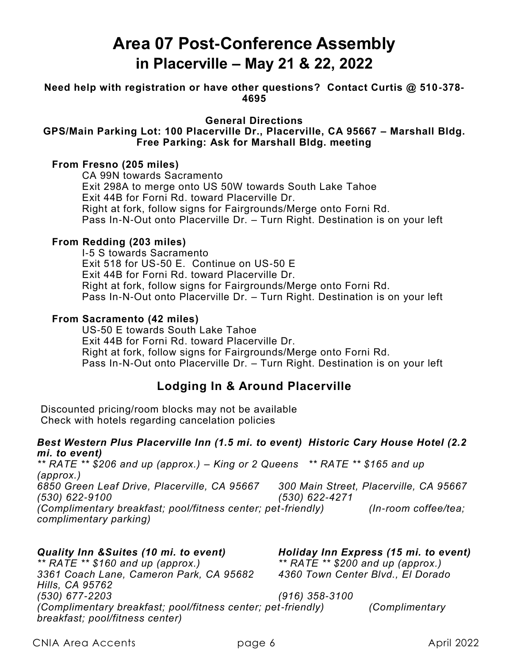# **Area 07 Post-Conference Assembly in Placerville – May 21 & 22, 2022**

**Need help with registration or have other questions? Contact Curtis @ 510-378- 4695**

**General Directions** 

#### **GPS/Main Parking Lot: 100 Placerville Dr., Placerville, CA 95667 – Marshall Bldg. Free Parking: Ask for Marshall Bldg. meeting**

#### **From Fresno (205 miles)**

CA 99N towards Sacramento Exit 298A to merge onto US 50W towards South Lake Tahoe Exit 44B for Forni Rd. toward Placerville Dr. Right at fork, follow signs for Fairgrounds/Merge onto Forni Rd. Pass In-N-Out onto Placerville Dr. – Turn Right. Destination is on your left

#### **From Redding (203 miles)**

I-5 S towards Sacramento Exit 518 for US-50 E. Continue on US-50 E Exit 44B for Forni Rd. toward Placerville Dr. Right at fork, follow signs for Fairgrounds/Merge onto Forni Rd. Pass In-N-Out onto Placerville Dr. – Turn Right. Destination is on your left

#### **From Sacramento (42 miles)**

US-50 E towards South Lake Tahoe Exit 44B for Forni Rd. toward Placerville Dr. Right at fork, follow signs for Fairgrounds/Merge onto Forni Rd. Pass In-N-Out onto Placerville Dr. – Turn Right. Destination is on your left

# **Lodging In & Around Placerville**

Discounted pricing/room blocks may not be available Check with hotels regarding cancelation policies

#### *Best Western Plus Placerville Inn (1.5 mi. to event) Historic Cary House Hotel (2.2 mi. to event)*

*\*\* RATE \*\* \$206 and up (approx.) – King or 2 Queens \*\* RATE \*\* \$165 and up (approx.) 6850 Green Leaf Drive, Placerville, CA 95667 300 Main Street, Placerville, CA 95667 (530) 622-9100 (530) 622-4271 (Complimentary breakfast; pool/fitness center; pet-friendly) (In-room coffee/tea; complimentary parking)*

*Quality Inn &Suites (10 mi. to event) Holiday Inn Express (15 mi. to event) \*\* RATE \*\* \$160 and up (approx.) \*\* RATE \*\* \$200 and up (approx.) 3361 Coach Lane, Cameron Park, CA 95682 4360 Town Center Blvd., El Dorado Hills, CA 95762 (530) 677-2203 (916) 358-3100 (Complimentary breakfast; pool/fitness center; pet-friendly) (Complimentary breakfast; pool/fitness center)*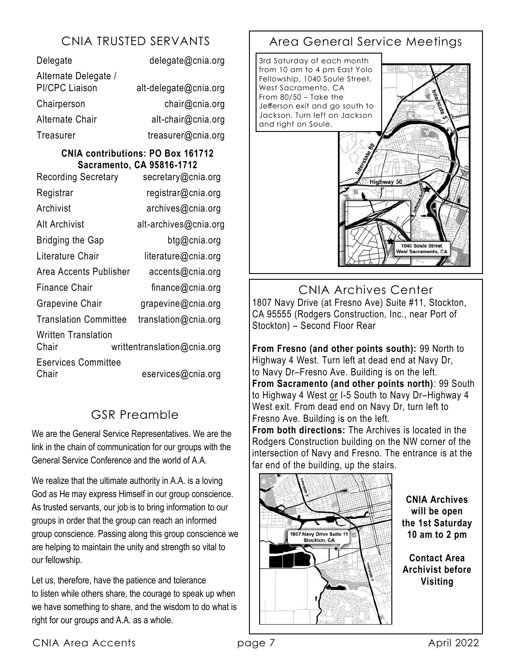| Delegate                                      | delegate@cnia.org     |
|-----------------------------------------------|-----------------------|
| Alternate Delegate /<br><b>PI/CPC Liaison</b> | alt-delegate@cnia.org |
| Chairperson                                   | chair@cnia.org        |
| <b>Alternate Chair</b>                        | alt-chair@cnia.org    |
| Treasurer                                     | treasurer@cnia.org    |

### **CNIA contributions: PO Box 161712 Sacramento, CA 95816-1712**

| <b>Recording Secretary</b>          | secretary@cnia.org          |  |  |
|-------------------------------------|-----------------------------|--|--|
| Registrar                           | registrar@cnia.org          |  |  |
| Archivist                           | archives@cnia.org           |  |  |
| Alt Archivist                       | alt-archives@cnia.org       |  |  |
| <b>Bridging the Gap</b>             | btg@cnia.org                |  |  |
| Literature Chair                    | literature@cnia.org         |  |  |
| Area Accents Publisher              | accents@cnia.org            |  |  |
| <b>Finance Chair</b>                | finance@cnia.org            |  |  |
| <b>Grapevine Chair</b>              | grapevine@cnia.org          |  |  |
| <b>Translation Committee</b>        | translation@cnia.org        |  |  |
| Written Translation<br>Chair        | writtentranslation@cnia.org |  |  |
| <b>Eservices Committee</b><br>Chair | eservices@cnia.org          |  |  |

# GSR Preamble

We are the General Service Representatives. We are the link in the chain of communication for our groups with the General Service Conference and the world of A.A.

We realize that the ultimate authority in A.A. is a loving God as He may express Himself in our group conscience. As trusted servants, our job is to bring information to our groups in order that the group can reach an informed group conscience. Passing along this group conscience we are helping to maintain the unity and strength so vital to our fellowship.

Let us, therefore, have the patience and tolerance to listen while others share, the courage to speak up when we have something to share, and the wisdom to do what is right for our groups and A.A. as a whole.

# CNIA TRUSTED SERVANTS | Area General Service Meetings



CNIA Archives Center 1807 Navy Drive (at Fresno Ave) Suite #11, Stockton, CA 95555 (Rodgers Construction, Inc., near Port of Stockton) – Second Floor Rear

**From Fresno (and other points south):** 99 North to Highway 4 West. Turn left at dead end at Navy Dr, to Navy Dr–Fresno Ave. Building is on the left. **From Sacramento (and other points north)**: 99 South to Highway 4 West or I-5 South to Navy Dr–Highway 4 West exit. From dead end on Navy Dr, turn left to Fresno Ave. Building is on the left.

**From both directions:** The Archives is located in the Rodgers Construction building on the NW corner of the intersection of Navy and Fresno. The entrance is at the far end of the building, up the stairs.



**CNIA Archives will be open the 1st Saturday 10 am to 2 pm**

**Contact Area Archivist before Visiting**